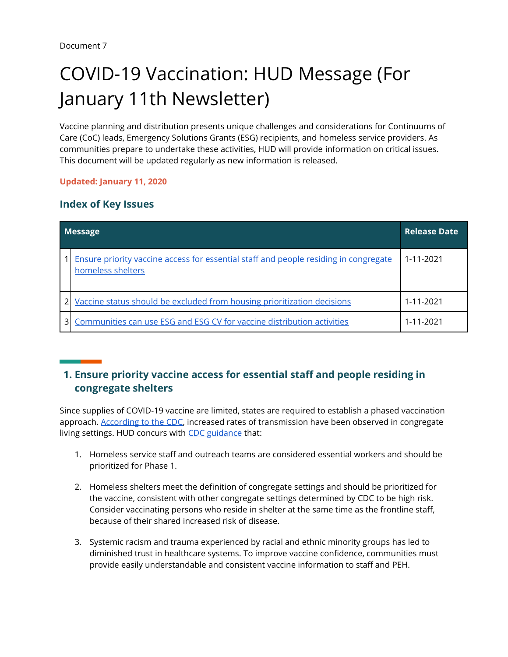# COVID-19 Vaccination: HUD Message (For January 11th Newsletter)

Vaccine planning and distribution presents unique challenges and considerations for Continuums of Care (CoC) leads, Emergency Solutions Grants (ESG) recipients, and homeless service providers. As communities prepare to undertake these activities, HUD will provide information on critical issues. This document will be updated regularly as new information is released.

#### **Updated: January 11, 2020**

### **Index of Key Issues**

| <b>Message</b> |                                                                                                                  | <b>Release Date</b> |
|----------------|------------------------------------------------------------------------------------------------------------------|---------------------|
|                | <b>Ensure priority vaccine access for essential staff and people residing in congregate</b><br>homeless shelters | 1-11-2021           |
|                | Vaccine status should be excluded from housing prioritization decisions                                          | 1-11-2021           |
|                | Communities can use ESG and ESG CV for vaccine distribution activities                                           | 1-11-2021           |

# <span id="page-0-0"></span>**1. Ensure priority vaccine access for essential staff and people residing in congregate shelters**

Since supplies of COVID-19 vaccine are limited, states are required to establish a phased vaccination approach. [According to the CDC,](https://www.cdc.gov/vaccines/covid-19/phased-implementation.html) increased rates of transmission have been observed in congregate living settings. HUD concurs with [CDC guidance](https://www.cdc.gov/vaccines/covid-19/phased-implementation.html) that:

- 1. Homeless service staff and outreach teams are considered essential workers and should be prioritized for Phase 1.
- 2. Homeless shelters meet the definition of congregate settings and should be prioritized for the vaccine, consistent with other congregate settings determined by CDC to be high risk. Consider vaccinating persons who reside in shelter at the same time as the frontline staff, because of their shared increased risk of disease.
- 3. Systemic racism and trauma experienced by racial and ethnic minority groups has led to diminished trust in healthcare systems. To improve vaccine confidence, communities must provide easily understandable and consistent vaccine information to staff and PEH.